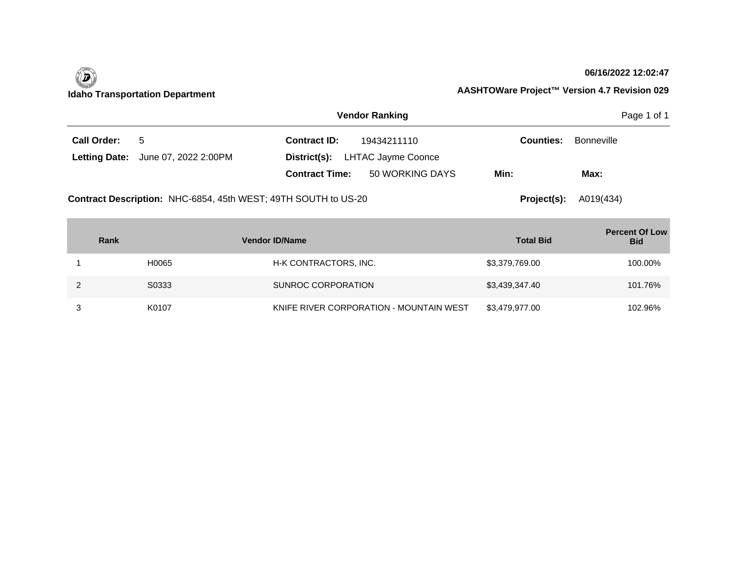

#### **06/16/2022 12:02:47**

|                    |                                                                | <b>Vendor Ranking</b>                    | Page 1 of 1      |            |
|--------------------|----------------------------------------------------------------|------------------------------------------|------------------|------------|
| <b>Call Order:</b> | 5                                                              | <b>Contract ID:</b><br>19434211110       | <b>Counties:</b> | Bonneville |
|                    | <b>Letting Date:</b> June 07, 2022 2:00PM                      | District(s): LHTAC Jayme Coonce          |                  |            |
|                    |                                                                | 50 WORKING DAYS<br><b>Contract Time:</b> | Min:             | Max:       |
|                    | Contract Description: NHC-6854, 45th WEST; 49TH SOUTH to US-20 |                                          | Project(s):      | A019(434)  |

| Rank  | <b>Vendor ID/Name</b>                   | <b>Total Bid</b> | <b>Percent Of Low</b><br><b>Bid</b> |
|-------|-----------------------------------------|------------------|-------------------------------------|
| H0065 | H-K CONTRACTORS, INC.                   | \$3,379,769.00   | 100.00%                             |
| S0333 | SUNROC CORPORATION                      | \$3,439,347.40   | 101.76%                             |
| K0107 | KNIFE RIVER CORPORATION - MOUNTAIN WEST | \$3,479,977.00   | 102.96%                             |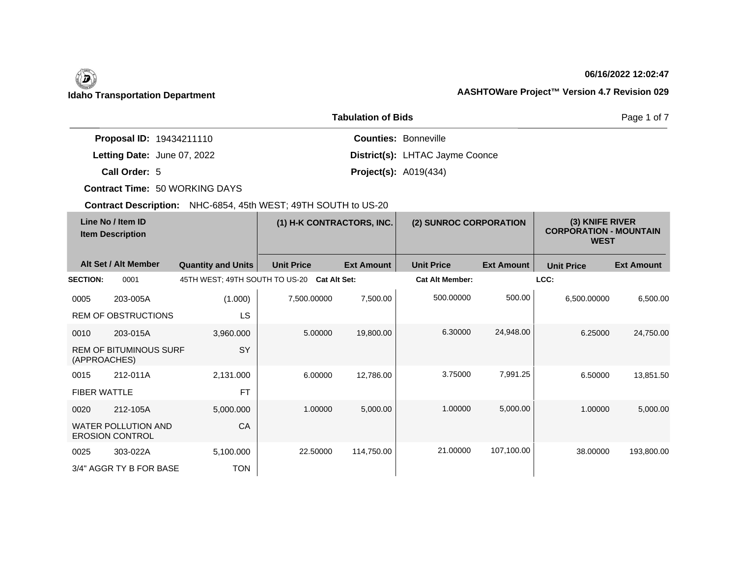#### **06/16/2022 12:02:47**

Page 1 of 7

### **Idaho Transportation Department AASHTOWare Project™ Version 4.7 Revision 029**

|                                 | <b>Tabulation of Bids</b>       |
|---------------------------------|---------------------------------|
| <b>Proposal ID: 19434211110</b> | <b>Counties: Bonneville</b>     |
| Letting Date: June 07, 2022     | District(s): LHTAC Jayme Coonce |
| Call Order: 5                   | <b>Project(s): A019(434)</b>    |

**Contract Time:** 50 WORKING DAYS

| Line No / Item ID<br><b>Item Description</b> |                                                      | (1) H-K CONTRACTORS, INC.      |                     | (2) SUNROC CORPORATION |                        | (3) KNIFE RIVER<br><b>CORPORATION - MOUNTAIN</b><br><b>WEST</b> |                   |                   |
|----------------------------------------------|------------------------------------------------------|--------------------------------|---------------------|------------------------|------------------------|-----------------------------------------------------------------|-------------------|-------------------|
|                                              | Alt Set / Alt Member                                 | <b>Quantity and Units</b>      | <b>Unit Price</b>   | <b>Ext Amount</b>      | <b>Unit Price</b>      | <b>Ext Amount</b>                                               | <b>Unit Price</b> | <b>Ext Amount</b> |
| <b>SECTION:</b>                              | 0001                                                 | 45TH WEST; 49TH SOUTH TO US-20 | <b>Cat Alt Set:</b> |                        | <b>Cat Alt Member:</b> |                                                                 | LCC:              |                   |
| 0005                                         | 203-005A                                             | (1.000)                        | 7,500.00000         | 7,500.00               | 500.00000              | 500.00                                                          | 6,500.00000       | 6,500.00          |
|                                              | <b>REM OF OBSTRUCTIONS</b>                           | LS                             |                     |                        |                        |                                                                 |                   |                   |
| 0010                                         | 203-015A                                             | 3,960.000                      | 5.00000             | 19,800.00              | 6.30000                | 24,948.00                                                       | 6.25000           | 24,750.00         |
| (APPROACHES)                                 | <b>REM OF BITUMINOUS SURF</b>                        | <b>SY</b>                      |                     |                        |                        |                                                                 |                   |                   |
| 0015                                         | 212-011A                                             | 2,131.000                      | 6.00000             | 12,786.00              | 3.75000                | 7,991.25                                                        | 6.50000           | 13,851.50         |
| <b>FIBER WATTLE</b>                          |                                                      | <b>FT</b>                      |                     |                        |                        |                                                                 |                   |                   |
| 0020                                         | 212-105A                                             | 5,000.000                      | 1.00000             | 5,000.00               | 1.00000                | 5,000.00                                                        | 1.00000           | 5,000.00          |
|                                              | <b>WATER POLLUTION AND</b><br><b>EROSION CONTROL</b> | CA                             |                     |                        |                        |                                                                 |                   |                   |
| 0025                                         | 303-022A                                             | 5,100.000                      | 22.50000            | 114,750.00             | 21.00000               | 107,100.00                                                      | 38.00000          | 193,800.00        |
|                                              | 3/4" AGGR TY B FOR BASE                              | <b>TON</b>                     |                     |                        |                        |                                                                 |                   |                   |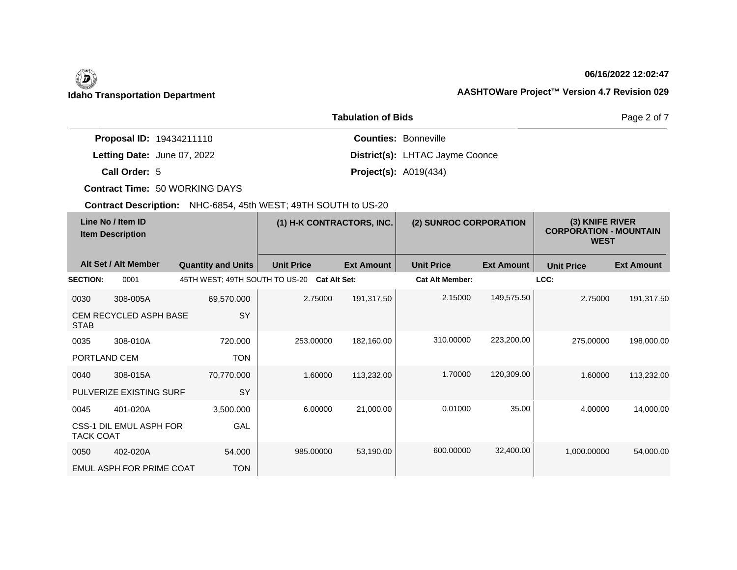#### **06/16/2022 12:02:47**

Page 2 of 7

### **Idaho Transportation Department AASHTOWare Project™ Version 4.7 Revision 029**

| <b>Tabulation of Bids</b>       |                                 |  |  |  |
|---------------------------------|---------------------------------|--|--|--|
| <b>Proposal ID: 19434211110</b> | <b>Counties: Bonneville</b>     |  |  |  |
| Letting Date: June 07, 2022     | District(s): LHTAC Jayme Coonce |  |  |  |
| Call Order: 5                   | <b>Project(s): A019(434)</b>    |  |  |  |

**Contract Time:** 50 WORKING DAYS

| Line No / Item ID<br><b>Item Description</b> |                               | (1) H-K CONTRACTORS, INC.      |                   | (2) SUNROC CORPORATION |                        | (3) KNIFE RIVER<br><b>CORPORATION - MOUNTAIN</b><br><b>WEST</b> |                   |                   |
|----------------------------------------------|-------------------------------|--------------------------------|-------------------|------------------------|------------------------|-----------------------------------------------------------------|-------------------|-------------------|
|                                              | Alt Set / Alt Member          | <b>Quantity and Units</b>      | <b>Unit Price</b> | <b>Ext Amount</b>      | <b>Unit Price</b>      | <b>Ext Amount</b>                                               | <b>Unit Price</b> | <b>Ext Amount</b> |
| <b>SECTION:</b>                              | 0001                          | 45TH WEST; 49TH SOUTH TO US-20 |                   | <b>Cat Alt Set:</b>    | <b>Cat Alt Member:</b> |                                                                 | LCC:              |                   |
| 0030                                         | 308-005A                      | 69,570.000                     | 2.75000           | 191,317.50             | 2.15000                | 149,575.50                                                      | 2.75000           | 191,317.50        |
| <b>STAB</b>                                  | <b>CEM RECYCLED ASPH BASE</b> | SY                             |                   |                        |                        |                                                                 |                   |                   |
| 0035                                         | 308-010A                      | 720.000                        | 253.00000         | 182,160.00             | 310.00000              | 223,200.00                                                      | 275.00000         | 198,000.00        |
| PORTLAND CEM                                 |                               | <b>TON</b>                     |                   |                        |                        |                                                                 |                   |                   |
| 0040                                         | 308-015A                      | 70,770.000                     | 1.60000           | 113,232.00             | 1.70000                | 120,309.00                                                      | 1.60000           | 113,232.00        |
|                                              | PULVERIZE EXISTING SURF       | <b>SY</b>                      |                   |                        |                        |                                                                 |                   |                   |
| 0045                                         | 401-020A                      | 3,500.000                      | 6.00000           | 21,000.00              | 0.01000                | 35.00                                                           | 4.00000           | 14,000.00         |
| <b>TACK COAT</b>                             | CSS-1 DIL EMUL ASPH FOR       | GAL                            |                   |                        |                        |                                                                 |                   |                   |
| 0050                                         | 402-020A                      | 54.000                         | 985.00000         | 53,190.00              | 600.00000              | 32,400.00                                                       | 1,000.00000       | 54,000.00         |
|                                              | EMUL ASPH FOR PRIME COAT      | <b>TON</b>                     |                   |                        |                        |                                                                 |                   |                   |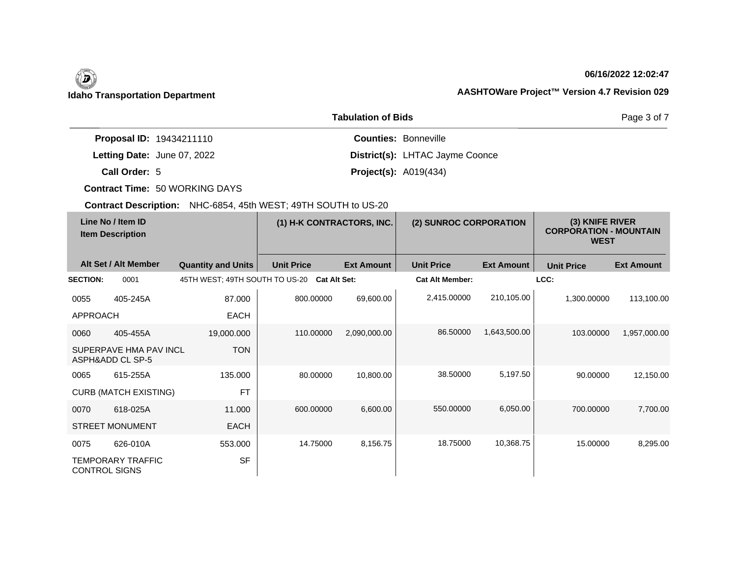#### **06/16/2022 12:02:47**

Page 3 of 7

### **Idaho Transportation Department AASHTOWare Project™ Version 4.7 Revision 029**

|                                 | <b>Tabulation of Bids</b>       |
|---------------------------------|---------------------------------|
| <b>Proposal ID: 19434211110</b> | <b>Counties: Bonneville</b>     |
| Letting Date: June 07, 2022     | District(s): LHTAC Jayme Coonce |
| Call Order: 5                   | <b>Project(s): A019(434)</b>    |

**Contract Time:** 50 WORKING DAYS

| Line No / Item ID<br><b>Item Description</b> |                                            | (1) H-K CONTRACTORS, INC.      |                     | (2) SUNROC CORPORATION |                        | (3) KNIFE RIVER<br><b>CORPORATION - MOUNTAIN</b><br><b>WEST</b> |                   |                   |
|----------------------------------------------|--------------------------------------------|--------------------------------|---------------------|------------------------|------------------------|-----------------------------------------------------------------|-------------------|-------------------|
|                                              | Alt Set / Alt Member                       | <b>Quantity and Units</b>      | <b>Unit Price</b>   | <b>Ext Amount</b>      | <b>Unit Price</b>      | <b>Ext Amount</b>                                               | <b>Unit Price</b> | <b>Ext Amount</b> |
| <b>SECTION:</b>                              | 0001                                       | 45TH WEST; 49TH SOUTH TO US-20 | <b>Cat Alt Set:</b> |                        | <b>Cat Alt Member:</b> |                                                                 | LCC:              |                   |
| 0055                                         | 405-245A                                   | 87.000                         | 800.00000           | 69,600.00              | 2,415.00000            | 210,105.00                                                      | 1,300.00000       | 113,100.00        |
| <b>APPROACH</b>                              |                                            | <b>EACH</b>                    |                     |                        |                        |                                                                 |                   |                   |
| 0060                                         | 405-455A                                   | 19,000.000                     | 110.00000           | 2,090,000.00           | 86,50000               | 1,643,500.00                                                    | 103.00000         | 1,957,000.00      |
|                                              | SUPERPAVE HMA PAV INCL<br>ASPH&ADD CL SP-5 | <b>TON</b>                     |                     |                        |                        |                                                                 |                   |                   |
| 0065                                         | 615-255A                                   | 135,000                        | 80.00000            | 10,800.00              | 38,50000               | 5,197.50                                                        | 90.00000          | 12,150.00         |
|                                              | <b>CURB (MATCH EXISTING)</b>               | <b>FT</b>                      |                     |                        |                        |                                                                 |                   |                   |
| 0070                                         | 618-025A                                   | 11.000                         | 600.00000           | 6,600.00               | 550.00000              | 6,050.00                                                        | 700.00000         | 7,700.00          |
|                                              | <b>STREET MONUMENT</b>                     | <b>EACH</b>                    |                     |                        |                        |                                                                 |                   |                   |
| 0075                                         | 626-010A                                   | 553.000                        | 14.75000            | 8,156.75               | 18.75000               | 10,368.75                                                       | 15.00000          | 8,295.00          |
| <b>CONTROL SIGNS</b>                         | <b>TEMPORARY TRAFFIC</b>                   | <b>SF</b>                      |                     |                        |                        |                                                                 |                   |                   |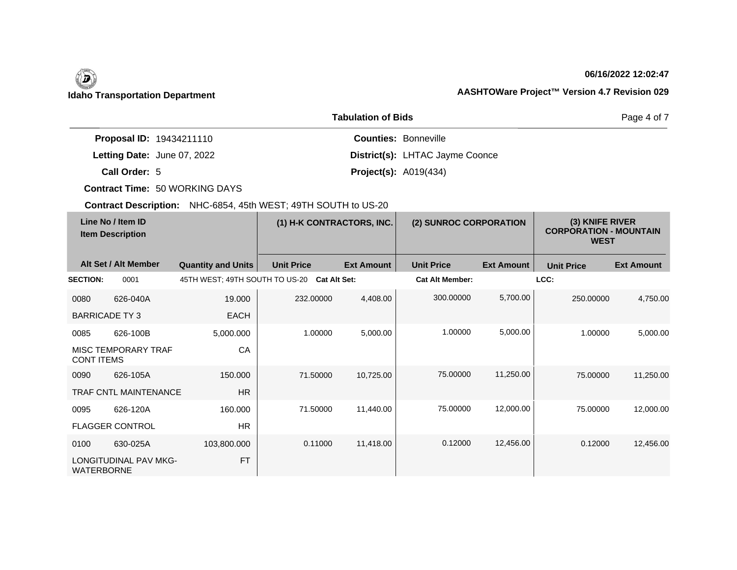#### **06/16/2022 12:02:47**

Page 4 of 7

### **Idaho Transportation Department AASHTOWare Project™ Version 4.7 Revision 029**

|                                 | <b>Tabulation of Bids</b>       |  |  |  |  |
|---------------------------------|---------------------------------|--|--|--|--|
| <b>Proposal ID: 19434211110</b> | <b>Counties: Bonneville</b>     |  |  |  |  |
| Letting Date: June 07, 2022     | District(s): LHTAC Jayme Coonce |  |  |  |  |
| Call Order: 5                   | <b>Project(s): A019(434)</b>    |  |  |  |  |

**Contract Time:** 50 WORKING DAYS

| Line No / Item ID<br><b>Item Description</b> |                              | (1) H-K CONTRACTORS, INC.      |                   | (2) SUNROC CORPORATION |                        | (3) KNIFE RIVER<br><b>CORPORATION - MOUNTAIN</b><br><b>WEST</b> |                   |                   |
|----------------------------------------------|------------------------------|--------------------------------|-------------------|------------------------|------------------------|-----------------------------------------------------------------|-------------------|-------------------|
|                                              | Alt Set / Alt Member         | <b>Quantity and Units</b>      | <b>Unit Price</b> | <b>Ext Amount</b>      | <b>Unit Price</b>      | <b>Ext Amount</b>                                               | <b>Unit Price</b> | <b>Ext Amount</b> |
| <b>SECTION:</b>                              | 0001                         | 45TH WEST; 49TH SOUTH TO US-20 |                   | <b>Cat Alt Set:</b>    | <b>Cat Alt Member:</b> |                                                                 | LCC:              |                   |
| 0080                                         | 626-040A                     | 19.000                         | 232.00000         | 4,408.00               | 300.00000              | 5,700.00                                                        | 250.00000         | 4,750.00          |
| <b>BARRICADE TY3</b>                         |                              | <b>EACH</b>                    |                   |                        |                        |                                                                 |                   |                   |
| 0085                                         | 626-100B                     | 5,000.000                      | 1.00000           | 5,000.00               | 1.00000                | 5,000.00                                                        | 1.00000           | 5,000.00          |
| <b>CONT ITEMS</b>                            | MISC TEMPORARY TRAF          | CA                             |                   |                        |                        |                                                                 |                   |                   |
| 0090                                         | 626-105A                     | 150.000                        | 71.50000          | 10,725.00              | 75.00000               | 11,250.00                                                       | 75,00000          | 11,250.00         |
|                                              | <b>TRAF CNTL MAINTENANCE</b> | <b>HR</b>                      |                   |                        |                        |                                                                 |                   |                   |
| 0095                                         | 626-120A                     | 160.000                        | 71.50000          | 11,440.00              | 75.00000               | 12,000.00                                                       | 75.00000          | 12,000.00         |
|                                              | <b>FLAGGER CONTROL</b>       | <b>HR</b>                      |                   |                        |                        |                                                                 |                   |                   |
| 0100                                         | 630-025A                     | 103,800.000                    | 0.11000           | 11,418.00              | 0.12000                | 12,456.00                                                       | 0.12000           | 12,456.00         |
| <b>WATERBORNE</b>                            | <b>LONGITUDINAL PAV MKG-</b> | <b>FT</b>                      |                   |                        |                        |                                                                 |                   |                   |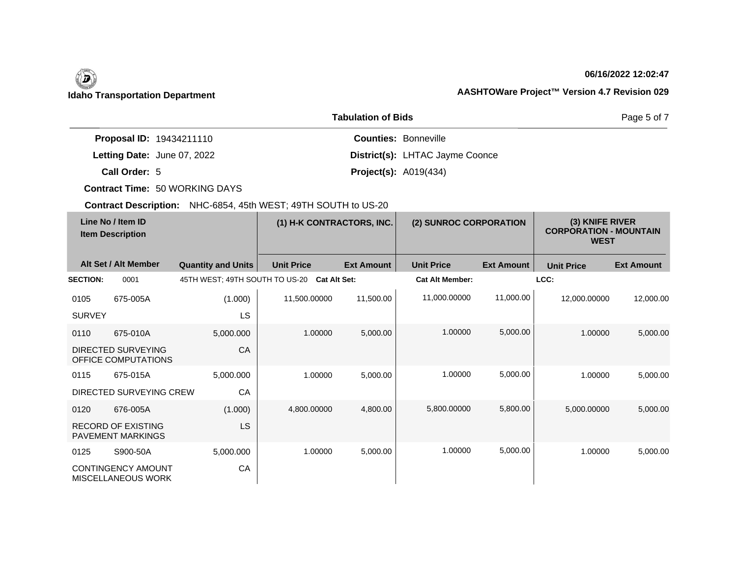#### **06/16/2022 12:02:47**

Page 5 of 7

### **Idaho Transportation Department AASHTOWare Project™ Version 4.7 Revision 029**

| <b>Tabulation of Bids</b>       |                                 |  |  |  |
|---------------------------------|---------------------------------|--|--|--|
| <b>Proposal ID: 19434211110</b> | <b>Counties: Bonneville</b>     |  |  |  |
| Letting Date: June 07, 2022     | District(s): LHTAC Jayme Coonce |  |  |  |
| Call Order: 5                   | <b>Project(s): A019(434)</b>    |  |  |  |

**Contract Time:** 50 WORKING DAYS

| Line No / Item ID<br><b>Item Description</b> |                                                        | (1) H-K CONTRACTORS, INC.      |                     | (2) SUNROC CORPORATION |                        | (3) KNIFE RIVER<br><b>CORPORATION - MOUNTAIN</b><br><b>WEST</b> |                   |                   |
|----------------------------------------------|--------------------------------------------------------|--------------------------------|---------------------|------------------------|------------------------|-----------------------------------------------------------------|-------------------|-------------------|
|                                              | Alt Set / Alt Member                                   | <b>Quantity and Units</b>      | <b>Unit Price</b>   | <b>Ext Amount</b>      | <b>Unit Price</b>      | <b>Ext Amount</b>                                               | <b>Unit Price</b> | <b>Ext Amount</b> |
| <b>SECTION:</b>                              | 0001                                                   | 45TH WEST; 49TH SOUTH TO US-20 | <b>Cat Alt Set:</b> |                        | <b>Cat Alt Member:</b> |                                                                 | LCC:              |                   |
| 0105                                         | 675-005A                                               | (1.000)                        | 11,500.00000        | 11,500.00              | 11,000.00000           | 11,000.00                                                       | 12,000.00000      | 12,000.00         |
| <b>SURVEY</b>                                |                                                        | LS                             |                     |                        |                        |                                                                 |                   |                   |
| 0110                                         | 675-010A                                               | 5,000.000                      | 1.00000             | 5,000.00               | 1.00000                | 5,000.00                                                        | 1.00000           | 5,000.00          |
|                                              | DIRECTED SURVEYING<br>OFFICE COMPUTATIONS              | CA                             |                     |                        |                        |                                                                 |                   |                   |
| 0115                                         | 675-015A                                               | 5,000.000                      | 1.00000             | 5,000.00               | 1.00000                | 5,000.00                                                        | 1.00000           | 5,000.00          |
|                                              | DIRECTED SURVEYING CREW                                | CA                             |                     |                        |                        |                                                                 |                   |                   |
| 0120                                         | 676-005A                                               | (1.000)                        | 4,800.00000         | 4,800.00               | 5,800.00000            | 5,800.00                                                        | 5,000.00000       | 5,000.00          |
|                                              | <b>RECORD OF EXISTING</b><br><b>PAVEMENT MARKINGS</b>  | LS                             |                     |                        |                        |                                                                 |                   |                   |
| 0125                                         | S900-50A                                               | 5,000.000                      | 1.00000             | 5,000.00               | 1.00000                | 5,000.00                                                        | 1.00000           | 5,000.00          |
|                                              | <b>CONTINGENCY AMOUNT</b><br><b>MISCELLANEOUS WORK</b> | CA                             |                     |                        |                        |                                                                 |                   |                   |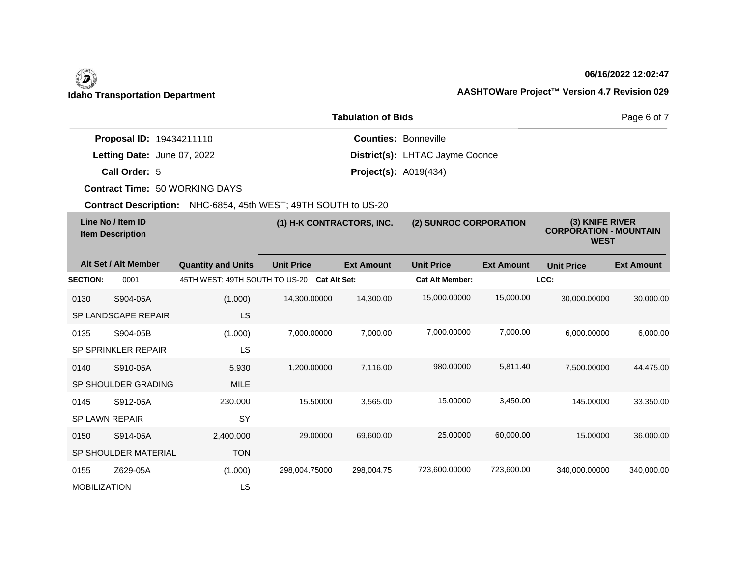#### **06/16/2022 12:02:47**

Page 6 of 7

### **Idaho Transportation Department AASHTOWare Project™ Version 4.7 Revision 029**

|                                 | <b>Tabulation of Bids</b>              |  |  |  |  |  |
|---------------------------------|----------------------------------------|--|--|--|--|--|
| <b>Proposal ID: 19434211110</b> | <b>Counties: Bonneville</b>            |  |  |  |  |  |
| Letting Date: June 07, 2022     | <b>District(s): LHTAC Jayme Coonce</b> |  |  |  |  |  |
| Call Order: 5                   | <b>Project(s): A019(434)</b>           |  |  |  |  |  |

**Contract Time:** 50 WORKING DAYS

| Line No / Item ID<br><b>Item Description</b> |                      | (1) H-K CONTRACTORS, INC.      |                     | (2) SUNROC CORPORATION |                        | (3) KNIFE RIVER<br><b>CORPORATION - MOUNTAIN</b><br><b>WEST</b> |                   |                   |
|----------------------------------------------|----------------------|--------------------------------|---------------------|------------------------|------------------------|-----------------------------------------------------------------|-------------------|-------------------|
|                                              | Alt Set / Alt Member | <b>Quantity and Units</b>      | <b>Unit Price</b>   | <b>Ext Amount</b>      | <b>Unit Price</b>      | <b>Ext Amount</b>                                               | <b>Unit Price</b> | <b>Ext Amount</b> |
| <b>SECTION:</b>                              | 0001                 | 45TH WEST; 49TH SOUTH TO US-20 | <b>Cat Alt Set:</b> |                        | <b>Cat Alt Member:</b> |                                                                 | LCC:              |                   |
| 0130                                         | S904-05A             | (1.000)                        | 14,300.00000        | 14,300.00              | 15,000.00000           | 15,000.00                                                       | 30,000.00000      | 30,000.00         |
|                                              | SP LANDSCAPE REPAIR  | LS                             |                     |                        |                        |                                                                 |                   |                   |
| 0135                                         | S904-05B             | (1.000)                        | 7,000.00000         | 7,000.00               | 7,000.00000            | 7,000.00                                                        | 6,000.00000       | 6,000.00          |
|                                              | SP SPRINKLER REPAIR  | LS                             |                     |                        |                        |                                                                 |                   |                   |
| 0140                                         | S910-05A             | 5.930                          | 1,200.00000         | 7,116.00               | 980.00000              | 5,811.40                                                        | 7,500.00000       | 44,475.00         |
|                                              | SP SHOULDER GRADING  | <b>MILE</b>                    |                     |                        |                        |                                                                 |                   |                   |
| 0145                                         | S912-05A             | 230.000                        | 15.50000            | 3,565.00               | 15.00000               | 3,450.00                                                        | 145.00000         | 33,350.00         |
| SP LAWN REPAIR                               |                      | SY                             |                     |                        |                        |                                                                 |                   |                   |
| 0150                                         | S914-05A             | 2,400.000                      | 29.00000            | 69,600.00              | 25.00000               | 60,000.00                                                       | 15.00000          | 36,000.00         |
|                                              | SP SHOULDER MATERIAL | <b>TON</b>                     |                     |                        |                        |                                                                 |                   |                   |
| 0155                                         | Z629-05A             | (1.000)                        | 298,004.75000       | 298,004.75             | 723,600.00000          | 723,600.00                                                      | 340,000.00000     | 340,000.00        |
| <b>MOBILIZATION</b>                          |                      | LS                             |                     |                        |                        |                                                                 |                   |                   |